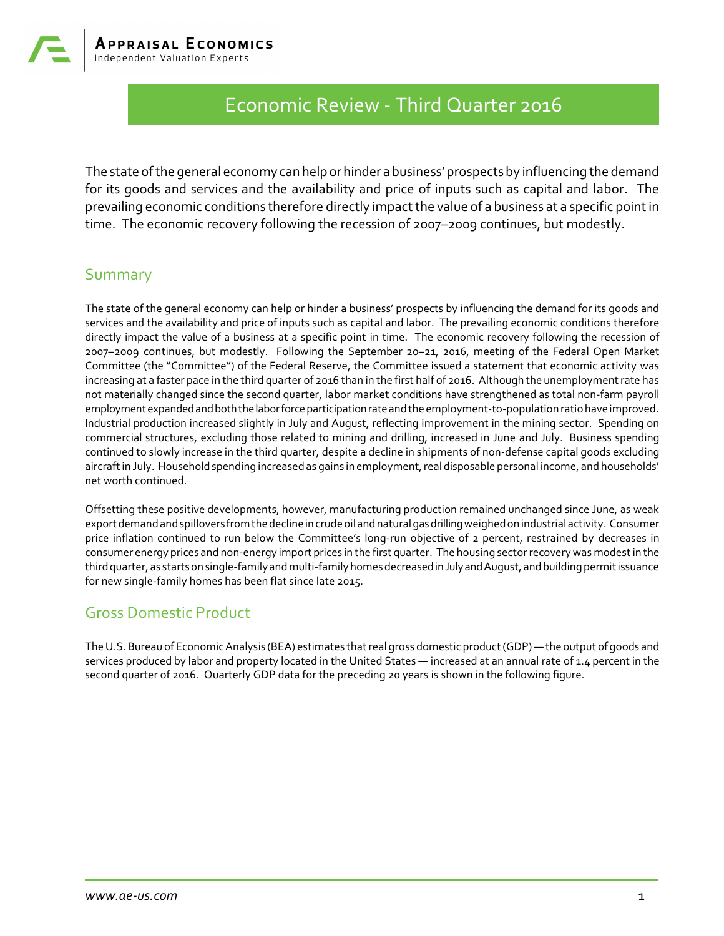# Economic Review - Third Quarter 2016

The state of the general economy can help or hinder a business' prospects by influencing the demand for its goods and services and the availability and price of inputs such as capital and labor. The prevailing economic conditions therefore directly impact the value of a business at a specific point in time. The economic recovery following the recession of 2007–2009 continues, but modestly.

### Summary

The state of the general economy can help or hinder a business' prospects by influencing the demand for its goods and services and the availability and price of inputs such as capital and labor. The prevailing economic conditions therefore directly impact the value of a business at a specific point in time. The economic recovery following the recession of 2007–2009 continues, but modestly. Following the September 20–21, 2016, meeting of the Federal Open Market Committee (the "Committee") of the Federal Reserve, the Committee issued a statement that economic activity was increasing at a faster pace in the third quarter of 2016 than in the first half of 2016. Although the unemployment rate has not materially changed since the second quarter, labor market conditions have strengthened as total non-farm payroll employment expanded and both the labor force participation rate and the employment-to-population ratio have improved. Industrial production increased slightly in July and August, reflecting improvement in the mining sector. Spending on commercial structures, excluding those related to mining and drilling, increased in June and July. Business spending continued to slowly increase in the third quarter, despite a decline in shipments of non-defense capital goods excluding aircraft in July. Household spending increased as gains in employment, real disposable personal income, and households' net worth continued.

Offsetting these positive developments, however, manufacturing production remained unchanged since June, as weak export demandandspillovers from the decline in crude oil andnaturalgasdrillingweighedon industrial activity. Consumer price inflation continued to run below the Committee's long-run objective of 2 percent, restrained by decreases in consumer energy prices and non-energy import prices in the first quarter. The housing sector recovery was modest in the thirdquarter, as startson single-family andmulti-family homesdecreasedinJulyandAugust, andbuilding permit issuance for new single-family homes has been flat since late 2015.

## Gross Domestic Product

The U.S. Bureau of EconomicAnalysis (BEA) estimates that real gross domestic product (GDP) — the output of goods and services produced by labor and property located in the United States — increased at an annual rate of 1.4 percent in the second quarter of 2016. Quarterly GDP data for the preceding 20 years is shown in the following figure.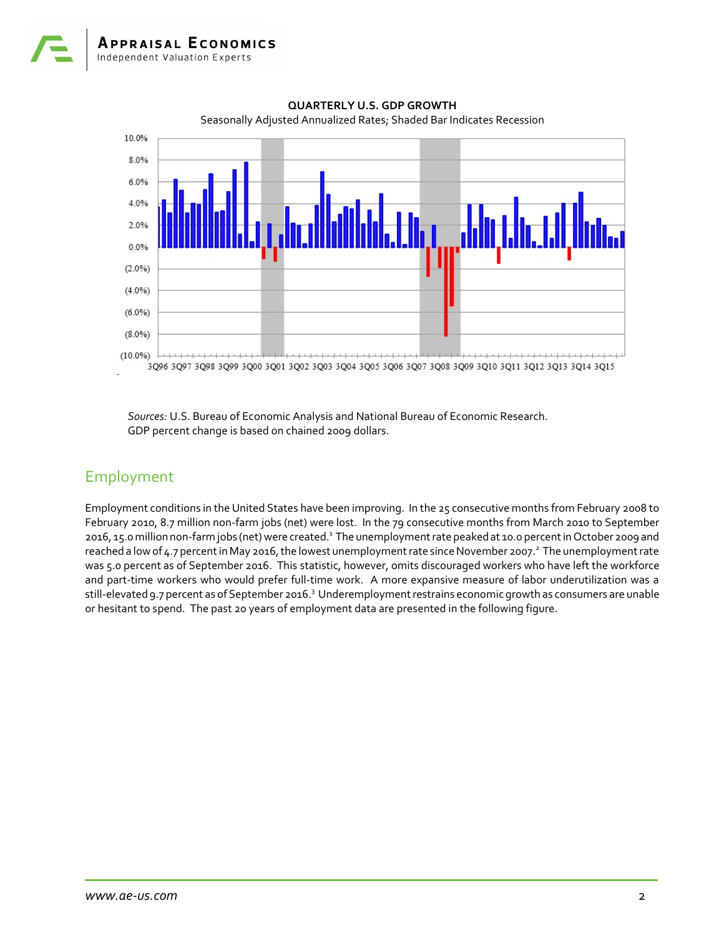

**QUARTERLY U.S. GDP GROWTH** Seasonally Adjusted Annualized Rates; Shaded Bar Indicates Recession

*Sources:* U.S. Bureau of Economic Analysis and National Bureau of Economic Research. GDP percent change is based on chained 2009 dollars.

## Employment

Employment conditions in the United States have been improving. In the 25 consecutive months from February 2008 to February 2010, 8.7 million non-farm jobs (net) were lost. In the 79 consecutive months from March 2010 to September 2016, 15.0 million non-farm jobs (net) were created.<sup>1</sup> The unemployment rate peaked at 10.0 percent in October 2009 and reached a low of 4.7 percent in May 2016, the lowest unemployment rate since November 2007.<sup>2</sup> The unemployment rate was 5.0 percent as of September 2016. This statistic, however, omits discouraged workers who have left the workforce and part-time workers who would prefer full-time work. A more expansive measure of labor underutilization was a still-elevated 9.7 percent as of September 2016.<sup>3</sup> Underemployment restrains economic growth as consumers are unable or hesitant to spend. The past 20 years of employment data are presented in the following figure.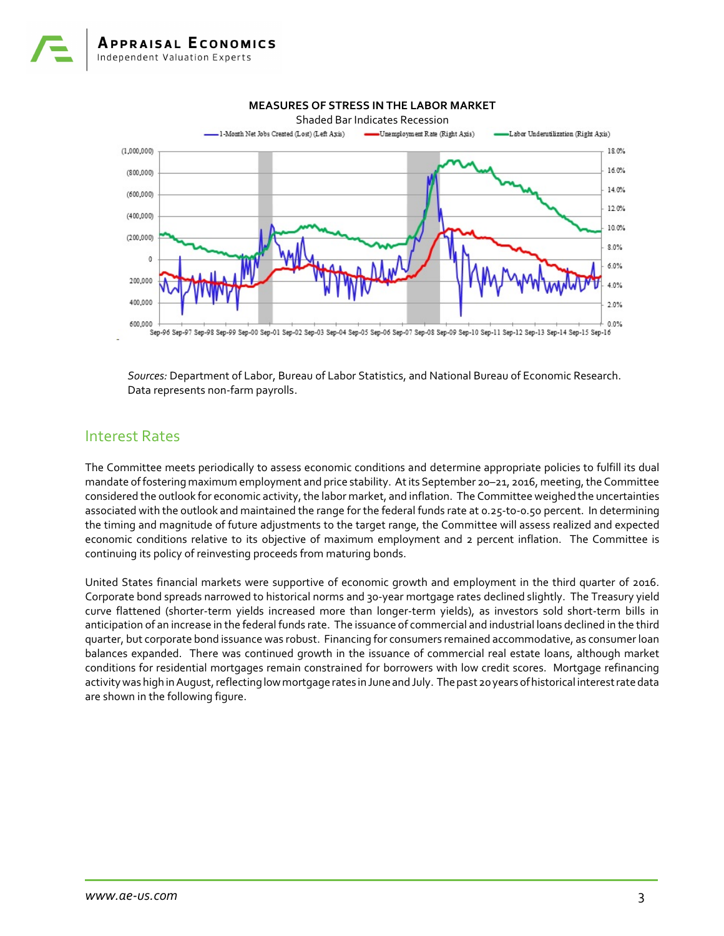

*Sources:* Department of Labor, Bureau of Labor Statistics, and National Bureau of Economic Research. Data represents non-farm payrolls.

### Interest Rates

The Committee meets periodically to assess economic conditions and determine appropriate policies to fulfill its dual mandate of fostering maximum employment and price stability. At its September 20–21, 2016, meeting, the Committee considered the outlook for economic activity, the labor market, and inflation. The Committee weighed the uncertainties associated with the outlook and maintained the range for the federal funds rate at 0.25-to-0.50 percent. In determining the timing and magnitude of future adjustments to the target range, the Committee will assess realized and expected economic conditions relative to its objective of maximum employment and 2 percent inflation. The Committee is continuing its policy of reinvesting proceeds from maturing bonds.

United States financial markets were supportive of economic growth and employment in the third quarter of 2016. Corporate bond spreads narrowed to historical norms and 30-year mortgage rates declined slightly. The Treasury yield curve flattened (shorter-term yields increased more than longer-term yields), as investors sold short-term bills in anticipation of an increase in the federal funds rate. The issuance of commercial and industrial loans declined in the third quarter, but corporate bond issuance was robust. Financing for consumers remained accommodative, as consumer loan balances expanded. There was continued growth in the issuance of commercial real estate loans, although market conditions for residential mortgages remain constrained for borrowers with low credit scores. Mortgage refinancing activity was high in August, reflecting low mortgage rates in June and July. The past 20 years of historical interest rate data are shown in the following figure.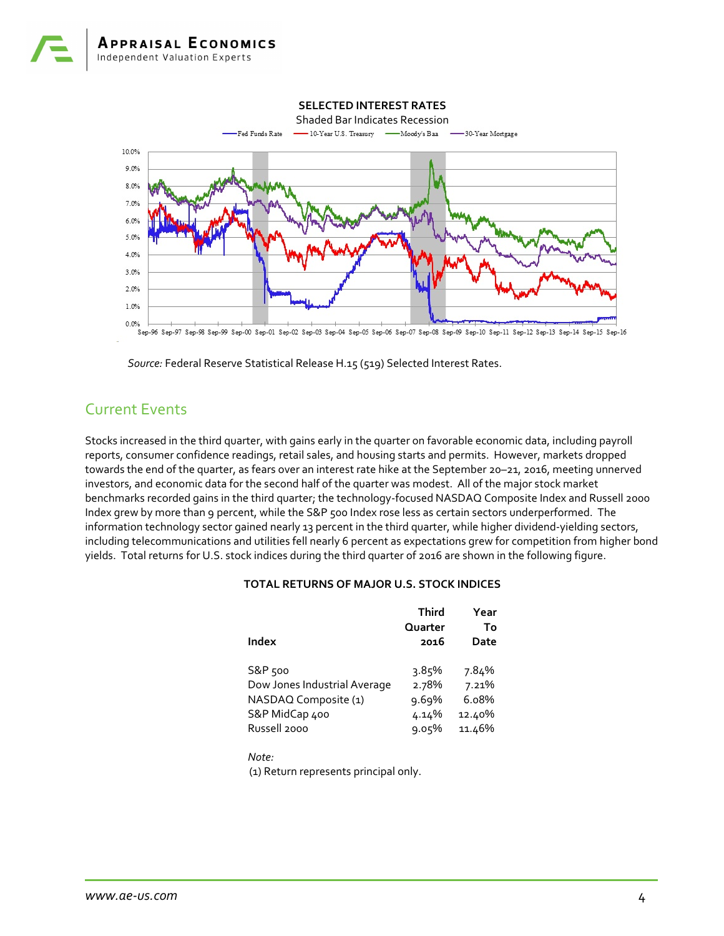

*Source:* Federal Reserve Statistical Release H.15 (519) Selected Interest Rates.

## Current Events

Stocks increased in the third quarter, with gains early in the quarter on favorable economic data, including payroll reports, consumer confidence readings, retail sales, and housing starts and permits. However, markets dropped towards the end of the quarter, as fears over an interest rate hike at the September 20–21, 2016, meeting unnerved investors, and economic data for the second half of the quarter was modest. All of the major stock market benchmarks recorded gains in the third quarter; the technology-focused NASDAQ Composite Index and Russell 2000 Index grew by more than 9 percent, while the S&P 500 Index rose less as certain sectors underperformed. The information technology sector gained nearly 13 percent in the third quarter, while higher dividend-yielding sectors, including telecommunications and utilities fell nearly 6 percent as expectations grew for competition from higher bond yields. Total returns for U.S. stock indices during the third quarter of 2016 are shown in the following figure.

### **TOTAL RETURNS OF MAJOR U.S. STOCK INDICES**

|                              | <b>Third</b>    | Year       |
|------------------------------|-----------------|------------|
| Index                        | Quarter<br>2016 | To<br>Date |
| S&P 500                      | 3.85%           | 7.84%      |
| Dow Jones Industrial Average | 2.78%           | 7.21%      |
| NASDAQ Composite (1)         | 9.69%           | 6.08%      |
| S&P MidCap 400               | 4.14%           | 12.40%     |
| Russell 2000                 | 9.05%           | 11.46%     |

*Note:* (1) Return represents principal only.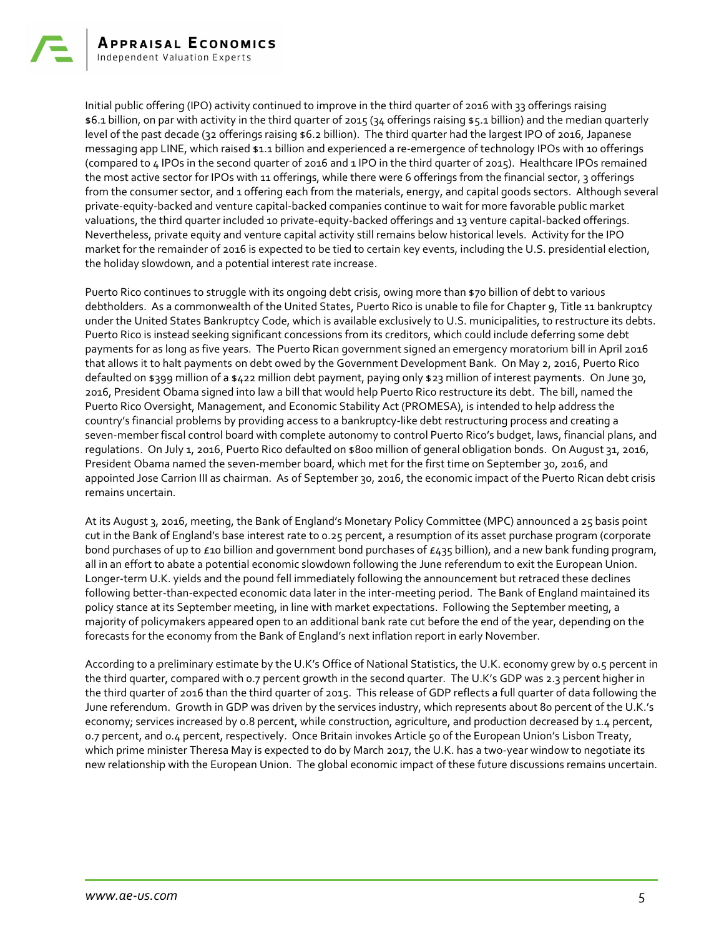Initial public offering (IPO) activity continued to improve in the third quarter of 2016 with 33 offerings raising \$6.1 billion, on par with activity in the third quarter of 2015 (34 offerings raising \$5.1 billion) and the median quarterly level of the past decade (32 offerings raising \$6.2 billion). The third quarter had the largest IPO of 2016, Japanese messaging app LINE, which raised \$1.1 billion and experienced a re-emergence of technology IPOs with 10 offerings (compared to 4 IPOs in the second quarter of 2016 and 1 IPO in the third quarter of 2015). Healthcare IPOs remained the most active sector for IPOs with 11 offerings, while there were 6 offerings from the financial sector, 3 offerings from the consumer sector, and 1 offering each from the materials, energy, and capital goods sectors. Although several private-equity-backed and venture capital-backed companies continue to wait for more favorable public market valuations, the third quarter included 10 private-equity-backed offerings and 13 venture capital-backed offerings. Nevertheless, private equity and venture capital activity still remains below historical levels. Activity for the IPO market for the remainder of 2016 is expected to be tied to certain key events, including the U.S. presidential election, the holiday slowdown, and a potential interest rate increase.

Puerto Rico continues to struggle with its ongoing debt crisis, owing more than \$70 billion of debt to various debtholders. As a commonwealth of the United States, Puerto Rico is unable to file for Chapter 9, Title 11 bankruptcy under the United States Bankruptcy Code, which is available exclusively to U.S. municipalities, to restructure its debts. Puerto Rico is instead seeking significant concessions from its creditors, which could include deferring some debt payments for as long as five years. The Puerto Rican government signed an emergency moratorium bill in April 2016 that allows it to halt payments on debt owed by the Government Development Bank. On May 2, 2016, Puerto Rico defaulted on \$399 million of a \$422 million debt payment, paying only \$23 million of interest payments. On June 30, 2016, President Obama signed into law a bill that would help Puerto Rico restructure its debt. The bill, named the Puerto Rico Oversight, Management, and Economic Stability Act (PROMESA), is intended to help address the country's financial problems by providing access to a bankruptcy-like debt restructuring process and creating a seven-member fiscal control board with complete autonomy to control Puerto Rico's budget, laws, financial plans, and regulations. On July 1, 2016, Puerto Rico defaulted on \$800 million of general obligation bonds. On August 31, 2016, President Obama named the seven-member board, which met for the first time on September 30, 2016, and appointed Jose Carrion III as chairman. As of September 30, 2016, the economic impact of the Puerto Rican debt crisis remains uncertain.

At its August 3, 2016, meeting, the Bank of England's Monetary Policy Committee (MPC) announced a 25 basis point cut in the Bank of England's base interest rate to 0.25 percent, a resumption of its asset purchase program (corporate bond purchases of up to  $\epsilon$ 10 billion and government bond purchases of  $\epsilon$ 435 billion), and a new bank funding program, all in an effort to abate a potential economic slowdown following the June referendum to exit the European Union. Longer-term U.K. yields and the pound fell immediately following the announcement but retraced these declines following better-than-expected economic data later in the inter-meeting period. The Bank of England maintained its policy stance at its September meeting, in line with market expectations. Following the September meeting, a majority of policymakers appeared open to an additional bank rate cut before the end of the year, depending on the forecasts for the economy from the Bank of England's next inflation report in early November.

According to a preliminary estimate by the U.K's Office of National Statistics, the U.K. economy grew by 0.5 percent in the third quarter, compared with 0.7 percent growth in the second quarter. The U.K's GDP was 2.3 percent higher in the third quarter of 2016 than the third quarter of 2015. This release of GDP reflects a full quarter of data following the June referendum. Growth in GDP was driven by the services industry, which represents about 80 percent of the U.K.'s economy; services increased by 0.8 percent, while construction, agriculture, and production decreased by 1.4 percent, 0.7 percent, and 0.4 percent, respectively. Once Britain invokes Article 50 of the European Union's Lisbon Treaty, which prime minister Theresa May is expected to do by March 2017, the U.K. has a two-year window to negotiate its new relationship with the European Union. The global economic impact of these future discussions remains uncertain.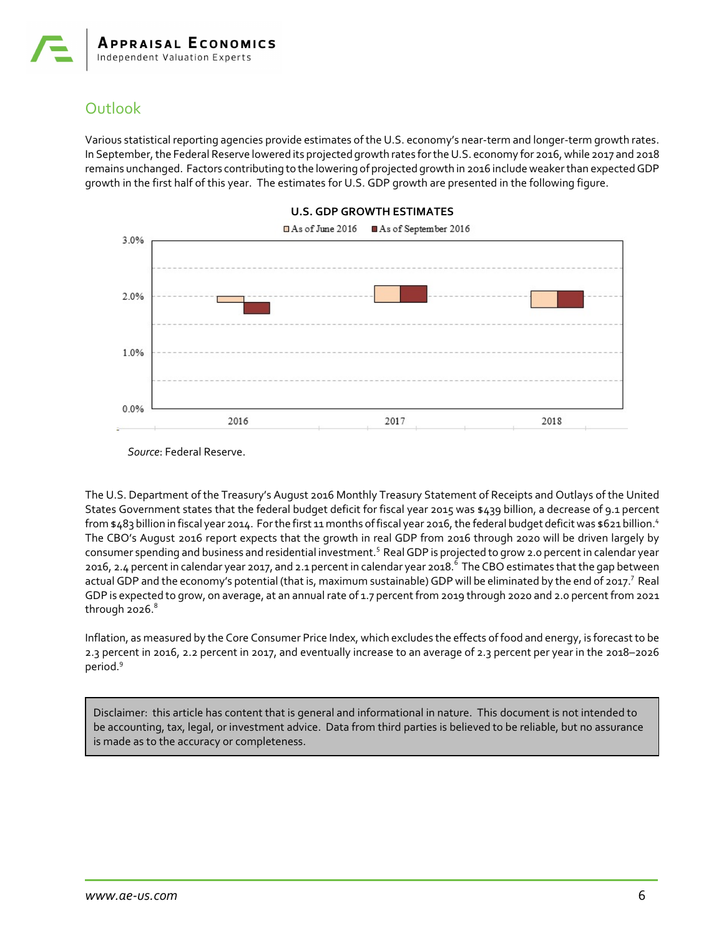## **Outlook**

Various statistical reporting agencies provide estimates of the U.S. economy's near-term and longer-term growth rates. In September, the Federal Reserve lowered its projected growth rates for the U.S. economy for 2016, while 2017 and 2018 remains unchanged. Factors contributing to the lowering of projected growth in 2016 include weaker than expectedGDP growth in the first half of this year. The estimates for U.S. GDP growth are presented in the following figure.



#### **U.S. GDP GROWTH ESTIMATES**

*Source*: Federal Reserve.

The U.S. Department of the Treasury's August 2016 Monthly Treasury Statement of Receipts and Outlays of the United States Government states that the federal budget deficit for fiscal year 2015 was \$439 billion, a decrease of 9.1 percent from \$483 billion in fiscal year 2014. For the first 11 months of fiscal year 2016, the federal budget deficit was \$621 billion.<sup>4</sup> The CBO's August 2016 report expects that the growth in real GDP from 2016 through 2020 will be driven largely by consumer spending and business and residential investment.<sup>5</sup> Real GDP is projected to grow 2.0 percent in calendar year 2016, 2.4 percent in calendar year 2017, and 2.1 percent in calendar year 2018.<sup>6</sup> The CBO estimates that the gap between actual GDP and the economy's potential (that is, maximum sustainable) GDP will be eliminated by the end of 2017.<sup>7</sup> Real GDP is expected to grow, on average, at an annual rate of 1.7 percent from 2019 through 2020 and 2.0 percent from 2021 through 2026. $^8$ 

Inflation, as measured by the Core Consumer Price Index, which excludes the effects of food and energy, is forecast to be 2.3 percent in 2016, 2.2 percent in 2017, and eventually increase to an average of 2.3 percent per year in the 2018–2026 period. 9

Disclaimer: this article has content that is general and informational in nature. This document is not intended to be accounting, tax, legal, or investment advice. Data from third parties is believed to be reliable, but no assurance is made as to the accuracy or completeness.